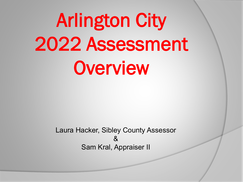# Arlington City 2022 Assessment **Overview**

Laura Hacker, Sibley County Assessor  $\mathcal{S}_{\mathbf{z}}$ Sam Kral, Appraiser II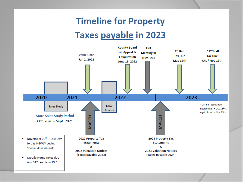### **Timeline for Property Taxes payable in 2023**

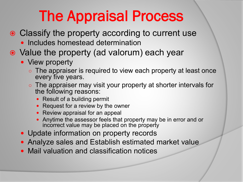## The Appraisal Process

- Classify the property according to current use
	- Includes homestead determination
- Value the property (ad valorum) each year
	- View property
		- o The appraiser is required to view each property at least once every five years.
		- The appraiser may visit your property at shorter intervals for the following reasons:
			- Result of a building permit
			- Request for a review by the owner
			- Review appraisal for an appeal
			- Anytime the assessor feels that property may be in error and or incorrect value may be placed on the property
	- Update information on property records
	- Analyze sales and Establish estimated market value
	- Mail valuation and classification notices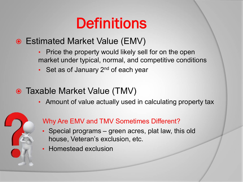## **Definitions**

- Estimated Market Value (EMV)
	- Price the property would likely sell for on the open market under typical, normal, and competitive conditions
	- Set as of January  $2^{nd}$  of each year
- Taxable Market Value (TMV)
	- Amount of value actually used in calculating property tax



#### Why Are EMV and TMV Sometimes Different?

- Special programs green acres, plat law, this old house, Veteran's exclusion, etc.
- Homestead exclusion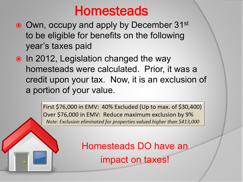## **Homesteads**

- Own, occupy and apply by December 31<sup>st</sup> to be eligible for benefits on the following year's taxes paid
- In 2012, Legislation changed the way homesteads were calculated. Prior, it was a credit upon your tax. Now, it is an exclusion of a portion of your value.

First \$76,000 in EMV: 40% Excluded (Up to max. of \$30,400) Over \$76,000 in EMV: Reduce maximum exclusion by 9% Note: Exclusion eliminated for properties valued higher than \$413,000

> Homesteads DO have an impact on taxes!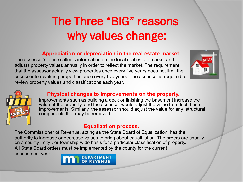## The Three "BIG" reasons why values change:

#### **Appreciation or depreciation in the real estate market.**

The assessor's office collects information on the local real estate market and adjusts property values annually in order to reflect the market. The requirement that the assessor actually view properties once every five years does not limit the assessor to revaluing properties once every five years. The assessor is required to review property values and classifications each year.





#### **Physical changes to improvements on the property.**

Improvements such as building a deck or finishing the basement increase the value of the property, and the assessor would adjust the value to reflect these improvements. Similarly, the assessor should adjust the value for any structural components that may be removed.

#### **Equalization process.**

The Commissioner of Revenue, acting as the State Board of Equalization, has the authority to increase or decrease values to bring about equalization. The orders are usually on a county-, city-, or township-wide basis for a particular classification of property. All State Board orders must be implemented by the county for the current

assessment year.

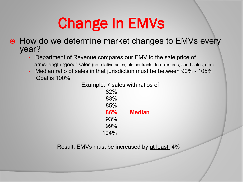## Change In EMVs

- **How do we determine market changes to EMVs every** year?
	- Department of Revenue compares our EMV to the sale price of arms-length "good" sales (no relative sales, old contracts, foreclosures, short sales, etc.)
	- Median ratio of sales in that jurisdiction must be between 90% 105% Goal is 100%

Example: 7 sales with ratios of

82% 83% 85% **86% Median** 93% 99% 104%

Result: EMVs must be increased by at least 4%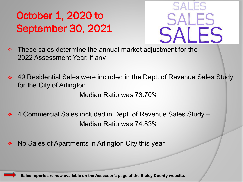## October 1, 2020 to September 30, 2021



- $\div$  These sales determine the annual market adjustment for the 2022 Assessment Year, if any.
- ◆ 49 Residential Sales were included in the Dept. of Revenue Sales Study for the City of Arlington

Median Ratio was 73.70%

- 4 Commercial Sales included in Dept. of Revenue Sales Study Median Ratio was 74.83%
- No Sales of Apartments in Arlington City this year

**Sales reports are now available on the Assessor's page of the Sibley County website.**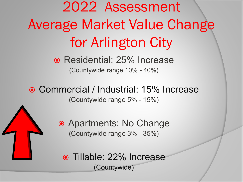2022 Assessment Average Market Value Change for Arlington City

> ● Residential: 25% Increase (Countywide range 10% - 40%)

● Commercial / Industrial: 15% Increase (Countywide range 5% - 15%)



● Tillable: 22% Increase (Countywide)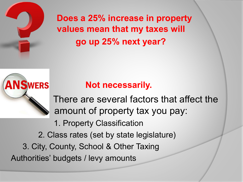

**WERS** 

**Does a 25% increase in property values mean that my taxes will go up 25% next year?** 

### **Not necessarily.**

There are several factors that affect the amount of property tax you pay:

1. Property Classification

2. Class rates (set by state legislature)

3. City, County, School & Other Taxing Authorities' budgets / levy amounts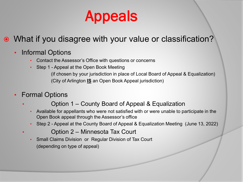

- What if you disagree with your value or classification?
	- Informal Options
		- Contact the Assessor's Office with questions or concerns
		- Step 1 Appeal at the Open Book Meeting (if chosen by your jurisdiction in place of Local Board of Appeal & Equalization) (City of Arlington **IS** an Open Book Appeal jurisdiction)
	- Formal Options
		- Option 1 County Board of Appeal & Equalization
			- Available for appellants who were not satisfied with or were unable to participate in the Open Book appeal through the Assessor's office
			- Step 2 Appeal at the County Board of Appeal & Equalization Meeting (June 13, 2022)
				- Option 2 Minnesota Tax Court
			- Small Claims Division or Regular Division of Tax Court (depending on type of appeal)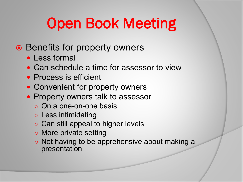## Open Book Meeting

- Benefits for property owners
	- Less formal
	- Can schedule a time for assessor to view
	- Process is efficient
	- Convenient for property owners
	- Property owners talk to assessor
		- On a one-on-one basis
		- Less intimidating
		- Can still appeal to higher levels
		- More private setting
		- Not having to be apprehensive about making a presentation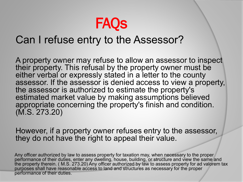

### Can I refuse entry to the Assessor?

A property owner may refuse to allow an assessor to inspect their property. This refusal by the property owner must be either verbal or expressly stated in a letter to the county assessor. If the assessor is denied access to view a property, the assessor is authorized to estimate the property's estimated market value by making assumptions believed appropriate concerning the property's finish and condition. (M.S. 273.20)

However, if a property owner refuses entry to the assessor, they do not have the right to appeal their value.

Any officer authorized by law to assess property for taxation may, when necessary to the proper performance of their duties, enter any dwelling, house, building, or structure and view the same and the property therein. ( M.S. 273.20) Any officer authorized by law to assess property for ad valorem tax purposes shall have reasonable access to land and structures as necessary for the proper performance of their duties.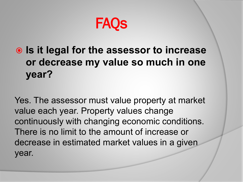**FAQS** 

### **Is it legal for the assessor to increase or decrease my value so much in one year?**

Yes. The assessor must value property at market value each year. Property values change continuously with changing economic conditions. There is no limit to the amount of increase or decrease in estimated market values in a given year.